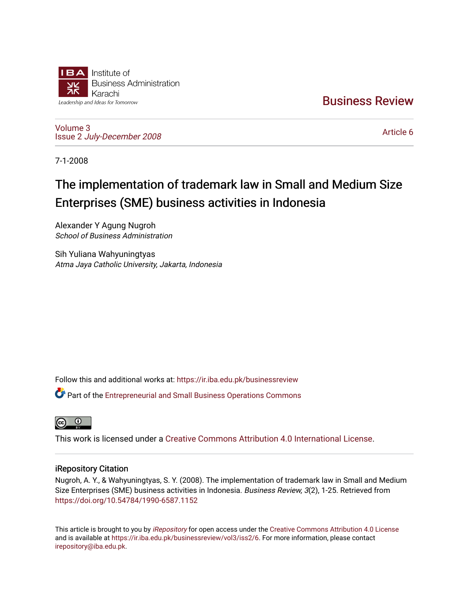

[Business Review](https://ir.iba.edu.pk/businessreview) 

[Volume 3](https://ir.iba.edu.pk/businessreview/vol3) Issue 2 [July-December 2008](https://ir.iba.edu.pk/businessreview/vol3/iss2)

[Article 6](https://ir.iba.edu.pk/businessreview/vol3/iss2/6) 

7-1-2008

# The implementation of trademark law in Small and Medium Size Enterprises (SME) business activities in Indonesia

Alexander Y Agung Nugroh School of Business Administration

Sih Yuliana Wahyuningtyas Atma Jaya Catholic University, Jakarta, Indonesia

Follow this and additional works at: [https://ir.iba.edu.pk/businessreview](https://ir.iba.edu.pk/businessreview?utm_source=ir.iba.edu.pk%2Fbusinessreview%2Fvol3%2Fiss2%2F6&utm_medium=PDF&utm_campaign=PDFCoverPages) 

Part of the [Entrepreneurial and Small Business Operations Commons](http://network.bepress.com/hgg/discipline/630?utm_source=ir.iba.edu.pk%2Fbusinessreview%2Fvol3%2Fiss2%2F6&utm_medium=PDF&utm_campaign=PDFCoverPages) 



This work is licensed under a [Creative Commons Attribution 4.0 International License](https://creativecommons.org/licenses/by/4.0/).

### iRepository Citation

Nugroh, A. Y., & Wahyuningtyas, S. Y. (2008). The implementation of trademark law in Small and Medium Size Enterprises (SME) business activities in Indonesia. Business Review, 3(2), 1-25. Retrieved from <https://doi.org/10.54784/1990-6587.1152>

This article is brought to you by [iRepository](https://ir.iba.edu.pk/) for open access under the Creative Commons Attribution 4.0 License and is available at [https://ir.iba.edu.pk/businessreview/vol3/iss2/6.](https://ir.iba.edu.pk/businessreview/vol3/iss2/6) For more information, please contact [irepository@iba.edu.pk.](mailto:irepository@iba.edu.pk)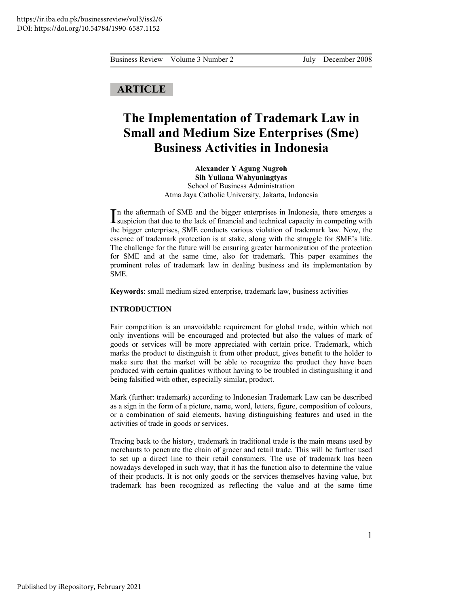## **ARTICLE**

## **The Implementation of Trademark Law in Small and Medium Size Enterprises (Sme) Business Activities in Indonesia**

**Alexander Y Agung Nugroh Sih Yuliana Wahyuningtyas**  School of Business Administration Atma Jaya Catholic University, Jakarta, Indonesia

n the aftermath of SME and the bigger enterprises in Indonesia, there emerges a In the aftermath of SME and the bigger enterprises in Indonesia, there emerges a suspicion that due to the lack of financial and technical capacity in competing with the bigger enterprises, SME conducts various violation of trademark law. Now, the essence of trademark protection is at stake, along with the struggle for SME's life. The challenge for the future will be ensuring greater harmonization of the protection for SME and at the same time, also for trademark. This paper examines the prominent roles of trademark law in dealing business and its implementation by SME.

**Keywords**: small medium sized enterprise, trademark law, business activities

#### **INTRODUCTION**

Fair competition is an unavoidable requirement for global trade, within which not only inventions will be encouraged and protected but also the values of mark of goods or services will be more appreciated with certain price. Trademark, which marks the product to distinguish it from other product, gives benefit to the holder to make sure that the market will be able to recognize the product they have been produced with certain qualities without having to be troubled in distinguishing it and being falsified with other, especially similar, product.

Mark (further: trademark) according to Indonesian Trademark Law can be described as a sign in the form of a picture, name, word, letters, figure, composition of colours, or a combination of said elements, having distinguishing features and used in the activities of trade in goods or services.

Tracing back to the history, trademark in traditional trade is the main means used by merchants to penetrate the chain of grocer and retail trade. This will be further used to set up a direct line to their retail consumers. The use of trademark has been nowadays developed in such way, that it has the function also to determine the value of their products. It is not only goods or the services themselves having value, but trademark has been recognized as reflecting the value and at the same time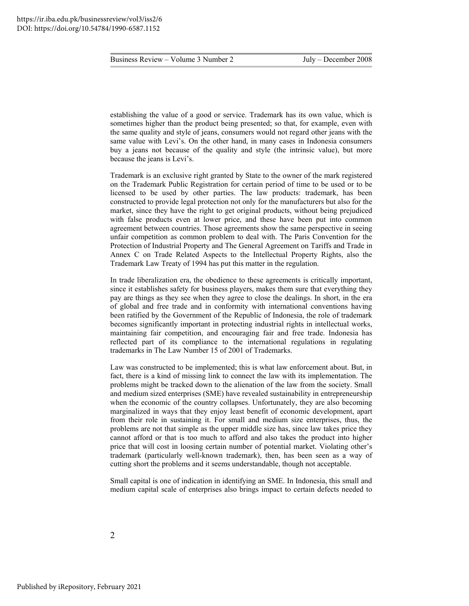establishing the value of a good or service. Trademark has its own value, which is sometimes higher than the product being presented; so that, for example, even with the same quality and style of jeans, consumers would not regard other jeans with the same value with Levi's. On the other hand, in many cases in Indonesia consumers buy a jeans not because of the quality and style (the intrinsic value), but more because the jeans is Levi's.

Trademark is an exclusive right granted by State to the owner of the mark registered on the Trademark Public Registration for certain period of time to be used or to be licensed to be used by other parties. The law products: trademark, has been constructed to provide legal protection not only for the manufacturers but also for the market, since they have the right to get original products, without being prejudiced with false products even at lower price, and these have been put into common agreement between countries. Those agreements show the same perspective in seeing unfair competition as common problem to deal with. The Paris Convention for the Protection of Industrial Property and The General Agreement on Tariffs and Trade in Annex C on Trade Related Aspects to the Intellectual Property Rights, also the Trademark Law Treaty of 1994 has put this matter in the regulation.

In trade liberalization era, the obedience to these agreements is critically important, since it establishes safety for business players, makes them sure that everything they pay are things as they see when they agree to close the dealings. In short, in the era of global and free trade and in conformity with international conventions having been ratified by the Government of the Republic of Indonesia, the role of trademark becomes significantly important in protecting industrial rights in intellectual works, maintaining fair competition, and encouraging fair and free trade. Indonesia has reflected part of its compliance to the international regulations in regulating trademarks in The Law Number 15 of 2001 of Trademarks.

Law was constructed to be implemented; this is what law enforcement about. But, in fact, there is a kind of missing link to connect the law with its implementation. The problems might be tracked down to the alienation of the law from the society. Small and medium sized enterprises (SME) have revealed sustainability in entrepreneurship when the economic of the country collapses. Unfortunately, they are also becoming marginalized in ways that they enjoy least benefit of economic development, apart from their role in sustaining it. For small and medium size enterprises, thus, the problems are not that simple as the upper middle size has, since law takes price they cannot afford or that is too much to afford and also takes the product into higher price that will cost in loosing certain number of potential market. Violating other's trademark (particularly well-known trademark), then, has been seen as a way of cutting short the problems and it seems understandable, though not acceptable.

Small capital is one of indication in identifying an SME. In Indonesia, this small and medium capital scale of enterprises also brings impact to certain defects needed to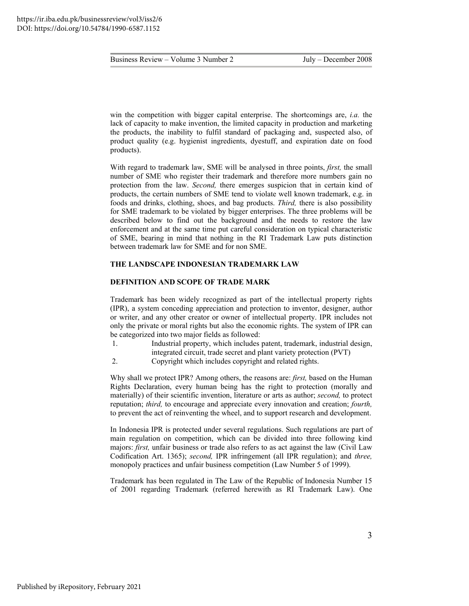win the competition with bigger capital enterprise. The shortcomings are, *i.a.* the lack of capacity to make invention, the limited capacity in production and marketing the products, the inability to fulfil standard of packaging and, suspected also, of product quality (e.g. hygienist ingredients, dyestuff, and expiration date on food products).

With regard to trademark law, SME will be analysed in three points, *first,* the small number of SME who register their trademark and therefore more numbers gain no protection from the law. *Second,* there emerges suspicion that in certain kind of products, the certain numbers of SME tend to violate well known trademark, e.g. in foods and drinks, clothing, shoes, and bag products. *Third,* there is also possibility for SME trademark to be violated by bigger enterprises. The three problems will be described below to find out the background and the needs to restore the law enforcement and at the same time put careful consideration on typical characteristic of SME, bearing in mind that nothing in the RI Trademark Law puts distinction between trademark law for SME and for non SME.

#### **THE LANDSCAPE INDONESIAN TRADEMARK LAW**

#### **DEFINITION AND SCOPE OF TRADE MARK**

Trademark has been widely recognized as part of the intellectual property rights (IPR), a system conceding appreciation and protection to inventor, designer, author or writer, and any other creator or owner of intellectual property. IPR includes not only the private or moral rights but also the economic rights. The system of IPR can be categorized into two major fields as followed:

- 1. Industrial property, which includes patent, trademark, industrial design, integrated circuit, trade secret and plant variety protection (PVT)
- 2. Copyright which includes copyright and related rights.

Why shall we protect IPR? Among others, the reasons are: *first,* based on the Human Rights Declaration, every human being has the right to protection (morally and materially) of their scientific invention, literature or arts as author; *second,* to protect reputation; *third,* to encourage and appreciate every innovation and creation; *fourth,*  to prevent the act of reinventing the wheel, and to support research and development.

In Indonesia IPR is protected under several regulations. Such regulations are part of main regulation on competition, which can be divided into three following kind majors: *first,* unfair business or trade also refers to as act against the law (Civil Law Codification Art. 1365); *second,* IPR infringement (all IPR regulation); and *three,* monopoly practices and unfair business competition (Law Number 5 of 1999).

Trademark has been regulated in The Law of the Republic of Indonesia Number 15 of 2001 regarding Trademark (referred herewith as RI Trademark Law). One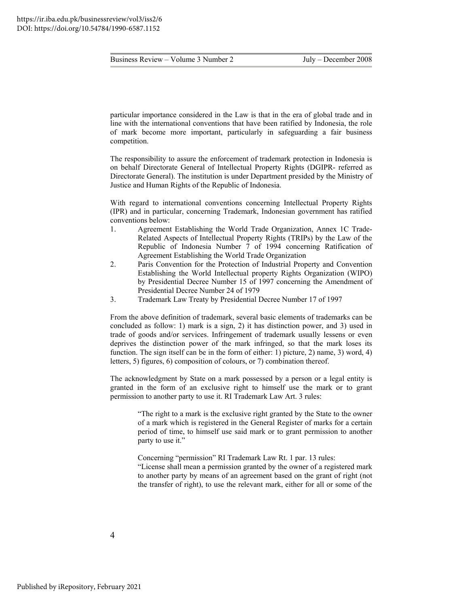particular importance considered in the Law is that in the era of global trade and in line with the international conventions that have been ratified by Indonesia, the role of mark become more important, particularly in safeguarding a fair business competition.

The responsibility to assure the enforcement of trademark protection in Indonesia is on behalf Directorate General of Intellectual Property Rights (DGIPR- referred as Directorate General). The institution is under Department presided by the Ministry of Justice and Human Rights of the Republic of Indonesia.

With regard to international conventions concerning Intellectual Property Rights (IPR) and in particular, concerning Trademark, Indonesian government has ratified conventions below:

- 1. Agreement Establishing the World Trade Organization, Annex 1C Trade-Related Aspects of Intellectual Property Rights (TRIPs) by the Law of the Republic of Indonesia Number 7 of 1994 concerning Ratification of Agreement Establishing the World Trade Organization
- 2. Paris Convention for the Protection of Industrial Property and Convention Establishing the World Intellectual property Rights Organization (WIPO) by Presidential Decree Number 15 of 1997 concerning the Amendment of Presidential Decree Number 24 of 1979
- 3. Trademark Law Treaty by Presidential Decree Number 17 of 1997

From the above definition of trademark, several basic elements of trademarks can be concluded as follow: 1) mark is a sign, 2) it has distinction power, and 3) used in trade of goods and/or services. Infringement of trademark usually lessens or even deprives the distinction power of the mark infringed, so that the mark loses its function. The sign itself can be in the form of either: 1) picture, 2) name, 3) word, 4) letters, 5) figures, 6) composition of colours, or 7) combination thereof.

The acknowledgment by State on a mark possessed by a person or a legal entity is granted in the form of an exclusive right to himself use the mark or to grant permission to another party to use it. RI Trademark Law Art. 3 rules:

> "The right to a mark is the exclusive right granted by the State to the owner of a mark which is registered in the General Register of marks for a certain period of time, to himself use said mark or to grant permission to another party to use it."

> Concerning "permission" RI Trademark Law Rt. 1 par. 13 rules: "License shall mean a permission granted by the owner of a registered mark to another party by means of an agreement based on the grant of right (not the transfer of right), to use the relevant mark, either for all or some of the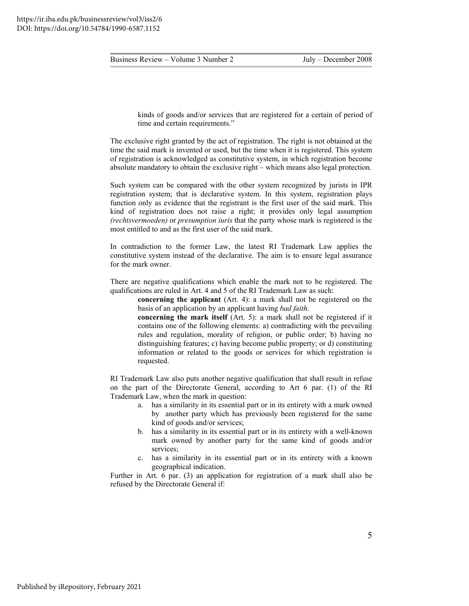kinds of goods and/or services that are registered for a certain of period of time and certain requirements."

The exclusive right granted by the act of registration. The right is not obtained at the time the said mark is invented or used, but the time when it is registered. This system of registration is acknowledged as constitutive system, in which registration become absolute mandatory to obtain the exclusive right – which means also legal protection.

Such system can be compared with the other system recognized by jurists in IPR registration system; that is declarative system. In this system, registration plays function only as evidence that the registrant is the first user of the said mark. This kind of registration does not raise a right; it provides only legal assumption *(rechtsvermoeden)* or *presumption iuris* that the party whose mark is registered is the most entitled to and as the first user of the said mark.

In contradiction to the former Law, the latest RI Trademark Law applies the constitutive system instead of the declarative. The aim is to ensure legal assurance for the mark owner.

There are negative qualifications which enable the mark not to be registered. The qualifications are ruled in Art. 4 and 5 of the RI Trademark Law as such:

**concerning the applicant** (Art. 4): a mark shall not be registered on the basis of an application by an applicant having *bad faith.*

**concerning the mark itself** (Art. 5): a mark shall not be registered if it contains one of the following elements: a) contradicting with the prevailing rules and regulation, morality of religion, or public order; b) having no distinguishing features; c) having become public property; or d) constituting information or related to the goods or services for which registration is requested.

RI Trademark Law also puts another negative qualification that shall result in refuse on the part of the Directorate General, according to Art 6 par. (1) of the RI Trademark Law, when the mark in question:

- a. has a similarity in its essential part or in its entirety with a mark owned by another party which has previously been registered for the same kind of goods and/or services;
- b. has a similarity in its essential part or in its entirety with a well-known mark owned by another party for the same kind of goods and/or services;
- c. has a similarity in its essential part or in its entirety with a known geographical indication.

Further in Art. 6 par. (3) an application for registration of a mark shall also be refused by the Directorate General if: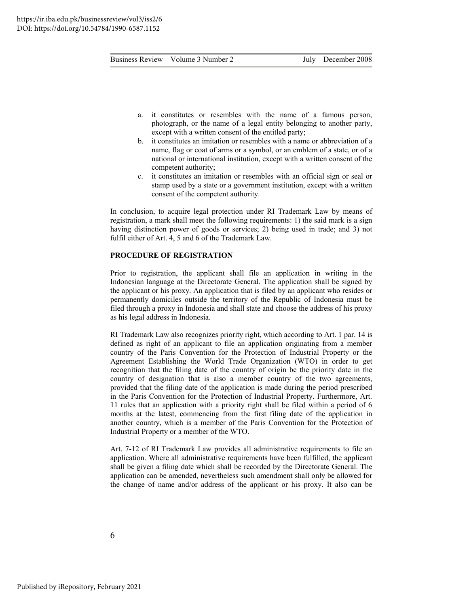- a. it constitutes or resembles with the name of a famous person, photograph, or the name of a legal entity belonging to another party, except with a written consent of the entitled party;
- b. it constitutes an imitation or resembles with a name or abbreviation of a name, flag or coat of arms or a symbol, or an emblem of a state, or of a national or international institution, except with a written consent of the competent authority;
- c. it constitutes an imitation or resembles with an official sign or seal or stamp used by a state or a government institution, except with a written consent of the competent authority.

In conclusion, to acquire legal protection under RI Trademark Law by means of registration, a mark shall meet the following requirements: 1) the said mark is a sign having distinction power of goods or services; 2) being used in trade; and 3) not fulfil either of Art. 4, 5 and 6 of the Trademark Law.

#### **PROCEDURE OF REGISTRATION**

Prior to registration, the applicant shall file an application in writing in the Indonesian language at the Directorate General. The application shall be signed by the applicant or his proxy. An application that is filed by an applicant who resides or permanently domiciles outside the territory of the Republic of Indonesia must be filed through a proxy in Indonesia and shall state and choose the address of his proxy as his legal address in Indonesia.

RI Trademark Law also recognizes priority right, which according to Art. 1 par. 14 is defined as right of an applicant to file an application originating from a member country of the Paris Convention for the Protection of Industrial Property or the Agreement Establishing the World Trade Organization (WTO) in order to get recognition that the filing date of the country of origin be the priority date in the country of designation that is also a member country of the two agreements, provided that the filing date of the application is made during the period prescribed in the Paris Convention for the Protection of Industrial Property. Furthermore, Art. 11 rules that an application with a priority right shall be filed within a period of 6 months at the latest, commencing from the first filing date of the application in another country, which is a member of the Paris Convention for the Protection of Industrial Property or a member of the WTO.

Art. 7-12 of RI Trademark Law provides all administrative requirements to file an application. Where all administrative requirements have been fulfilled, the applicant shall be given a filing date which shall be recorded by the Directorate General. The application can be amended, nevertheless such amendment shall only be allowed for the change of name and/or address of the applicant or his proxy. It also can be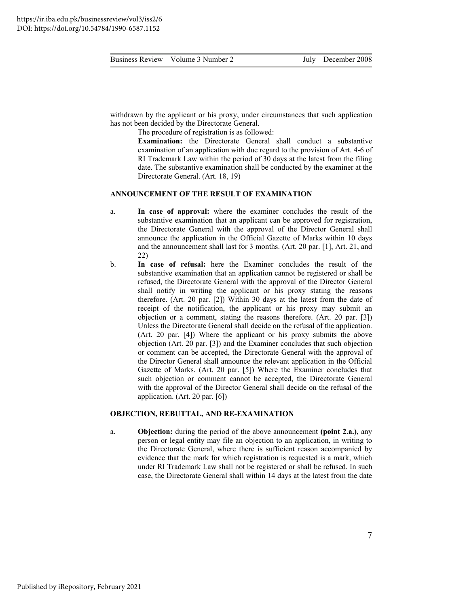withdrawn by the applicant or his proxy, under circumstances that such application has not been decided by the Directorate General.

The procedure of registration is as followed:

**Examination:** the Directorate General shall conduct a substantive examination of an application with due regard to the provision of Art. 4-6 of RI Trademark Law within the period of 30 days at the latest from the filing date. The substantive examination shall be conducted by the examiner at the Directorate General. (Art. 18, 19)

#### **ANNOUNCEMENT OF THE RESULT OF EXAMINATION**

- a. **In case of approval:** where the examiner concludes the result of the substantive examination that an applicant can be approved for registration, the Directorate General with the approval of the Director General shall announce the application in the Official Gazette of Marks within 10 days and the announcement shall last for 3 months. (Art. 20 par. [1], Art. 21, and 22)
- b. **In case of refusal:** here the Examiner concludes the result of the substantive examination that an application cannot be registered or shall be refused, the Directorate General with the approval of the Director General shall notify in writing the applicant or his proxy stating the reasons therefore. (Art. 20 par. [2]) Within 30 days at the latest from the date of receipt of the notification, the applicant or his proxy may submit an objection or a comment, stating the reasons therefore. (Art. 20 par. [3]) Unless the Directorate General shall decide on the refusal of the application. (Art. 20 par. [4]) Where the applicant or his proxy submits the above objection (Art. 20 par. [3]) and the Examiner concludes that such objection or comment can be accepted, the Directorate General with the approval of the Director General shall announce the relevant application in the Official Gazette of Marks. (Art. 20 par. [5]) Where the Examiner concludes that such objection or comment cannot be accepted, the Directorate General with the approval of the Director General shall decide on the refusal of the application. (Art. 20 par. [6])

#### **OBJECTION, REBUTTAL, AND RE-EXAMINATION**

a. **Objection:** during the period of the above announcement **(point 2.a.)**, any person or legal entity may file an objection to an application, in writing to the Directorate General, where there is sufficient reason accompanied by evidence that the mark for which registration is requested is a mark, which under RI Trademark Law shall not be registered or shall be refused. In such case, the Directorate General shall within 14 days at the latest from the date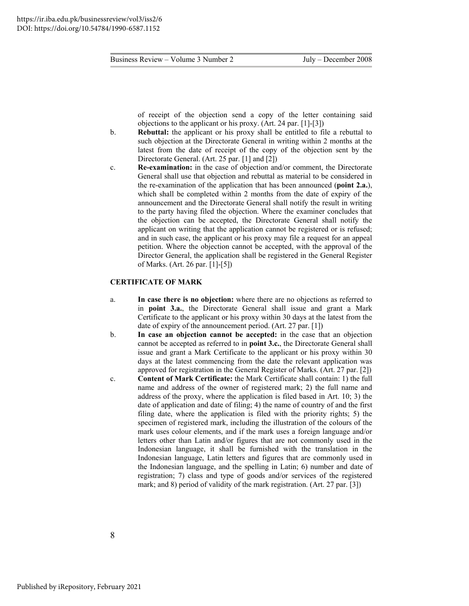of receipt of the objection send a copy of the letter containing said objections to the applicant or his proxy. (Art. 24 par. [1]-[3])

- b. **Rebuttal:** the applicant or his proxy shall be entitled to file a rebuttal to such objection at the Directorate General in writing within 2 months at the latest from the date of receipt of the copy of the objection sent by the Directorate General. (Art. 25 par. [1] and [2])
- c. **Re-examination:** in the case of objection and/or comment, the Directorate General shall use that objection and rebuttal as material to be considered in the re-examination of the application that has been announced (**point 2.a.**), which shall be completed within 2 months from the date of expiry of the announcement and the Directorate General shall notify the result in writing to the party having filed the objection. Where the examiner concludes that the objection can be accepted, the Directorate General shall notify the applicant on writing that the application cannot be registered or is refused; and in such case, the applicant or his proxy may file a request for an appeal petition. Where the objection cannot be accepted, with the approval of the Director General, the application shall be registered in the General Register of Marks. (Art. 26 par. [1]-[5])

#### **CERTIFICATE OF MARK**

- a. **In case there is no objection:** where there are no objections as referred to in **point 3.a.**, the Directorate General shall issue and grant a Mark Certificate to the applicant or his proxy within 30 days at the latest from the date of expiry of the announcement period. (Art. 27 par. [1])
- b. **In case an objection cannot be accepted:** in the case that an objection cannot be accepted as referred to in **point 3.c.**, the Directorate General shall issue and grant a Mark Certificate to the applicant or his proxy within 30 days at the latest commencing from the date the relevant application was approved for registration in the General Register of Marks. (Art. 27 par. [2])
- c. **Content of Mark Certificate:** the Mark Certificate shall contain: 1) the full name and address of the owner of registered mark; 2) the full name and address of the proxy, where the application is filed based in Art. 10; 3) the date of application and date of filing; 4) the name of country of and the first filing date, where the application is filed with the priority rights; 5) the specimen of registered mark, including the illustration of the colours of the mark uses colour elements, and if the mark uses a foreign language and/or letters other than Latin and/or figures that are not commonly used in the Indonesian language, it shall be furnished with the translation in the Indonesian language, Latin letters and figures that are commonly used in the Indonesian language, and the spelling in Latin; 6) number and date of registration; 7) class and type of goods and/or services of the registered mark; and 8) period of validity of the mark registration. (Art. 27 par. [3])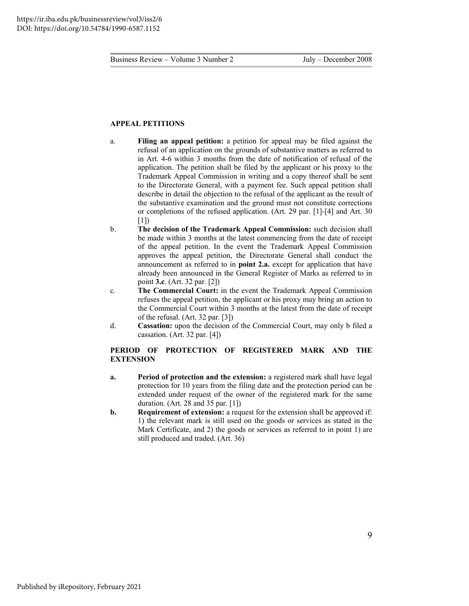#### **APPEAL PETITIONS**

- a. **Filing an appeal petition:** a petition for appeal may be filed against the refusal of an application on the grounds of substantive matters as referred to in Art. 4-6 within 3 months from the date of notification of refusal of the application. The petition shall be filed by the applicant or his proxy to the Trademark Appeal Commission in writing and a copy thereof shall be sent to the Directorate General, with a payment fee. Such appeal petition shall describe in detail the objection to the refusal of the applicant as the result of the substantive examination and the ground must not constitute corrections or completions of the refused application. (Art. 29 par. [1]-[4] and Art. 30  $[1]$
- b. **The decision of the Trademark Appeal Commission:** such decision shall be made within 3 months at the latest commencing from the date of receipt of the appeal petition. In the event the Trademark Appeal Commission approves the appeal petition, the Directorate General shall conduct the announcement as referred to in **point 2.a.** except for application that have already been announced in the General Register of Marks as referred to in point **3.c**. (Art. 32 par. [2])
- c. **The Commercial Court:** in the event the Trademark Appeal Commission refuses the appeal petition, the applicant or his proxy may bring an action to the Commercial Court within 3 months at the latest from the date of receipt of the refusal. (Art. 32 par. [3])
- d. **Cassation:** upon the decision of the Commercial Court, may only b filed a cassation. (Art. 32 par. [4])

#### **PERIOD OF PROTECTION OF REGISTERED MARK AND THE EXTENSION**

- **a. Period of protection and the extension:** a registered mark shall have legal protection for 10 years from the filing date and the protection period can be extended under request of the owner of the registered mark for the same duration. (Art. 28 and 35 par. [1])
- **b. Requirement of extension:** a request for the extension shall be approved if: 1) the relevant mark is still used on the goods or services as stated in the Mark Certificate, and 2) the goods or services as referred to in point 1) are still produced and traded. (Art. 36)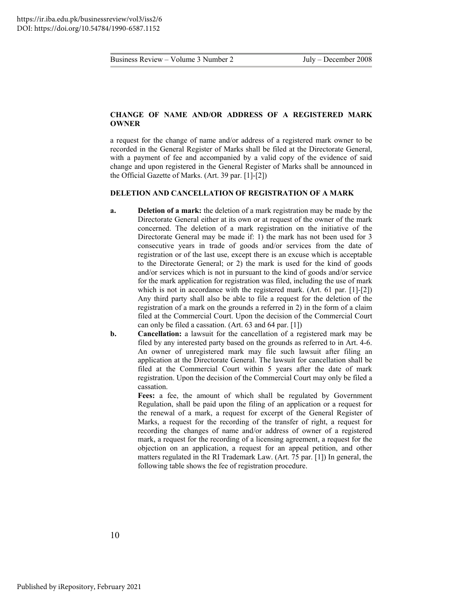#### **CHANGE OF NAME AND/OR ADDRESS OF A REGISTERED MARK OWNER**

a request for the change of name and/or address of a registered mark owner to be recorded in the General Register of Marks shall be filed at the Directorate General, with a payment of fee and accompanied by a valid copy of the evidence of said change and upon registered in the General Register of Marks shall be announced in the Official Gazette of Marks. (Art. 39 par. [1]-[2])

#### **DELETION AND CANCELLATION OF REGISTRATION OF A MARK**

- **a. Deletion of a mark:** the deletion of a mark registration may be made by the Directorate General either at its own or at request of the owner of the mark concerned. The deletion of a mark registration on the initiative of the Directorate General may be made if: 1) the mark has not been used for 3 consecutive years in trade of goods and/or services from the date of registration or of the last use, except there is an excuse which is acceptable to the Directorate General; or 2) the mark is used for the kind of goods and/or services which is not in pursuant to the kind of goods and/or service for the mark application for registration was filed, including the use of mark which is not in accordance with the registered mark. (Art. 61 par. [1]-[2]) Any third party shall also be able to file a request for the deletion of the registration of a mark on the grounds a referred in 2) in the form of a claim filed at the Commercial Court. Upon the decision of the Commercial Court can only be filed a cassation. (Art. 63 and 64 par. [1])
- **b. Cancellation:** a lawsuit for the cancellation of a registered mark may be filed by any interested party based on the grounds as referred to in Art. 4-6. An owner of unregistered mark may file such lawsuit after filing an application at the Directorate General. The lawsuit for cancellation shall be filed at the Commercial Court within 5 years after the date of mark registration. Upon the decision of the Commercial Court may only be filed a cassation.

Fees: a fee, the amount of which shall be regulated by Government Regulation, shall be paid upon the filing of an application or a request for the renewal of a mark, a request for excerpt of the General Register of Marks, a request for the recording of the transfer of right, a request for recording the changes of name and/or address of owner of a registered mark, a request for the recording of a licensing agreement, a request for the objection on an application, a request for an appeal petition, and other matters regulated in the RI Trademark Law. (Art. 75 par. [1]) In general, the following table shows the fee of registration procedure.

10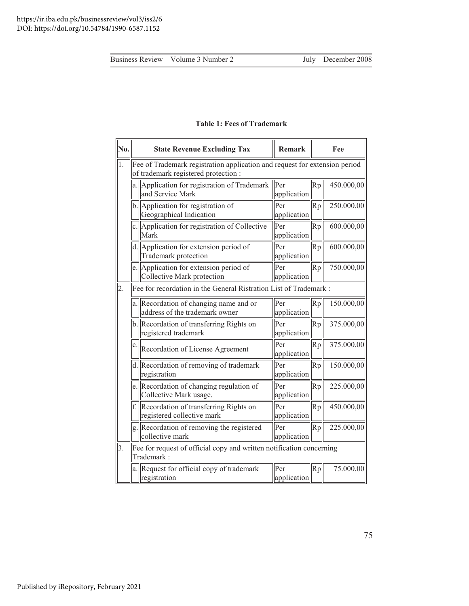| No.              |    | <b>State Revenue Excluding Tax</b>                                                                                 | Remark             |    | Fee        |
|------------------|----|--------------------------------------------------------------------------------------------------------------------|--------------------|----|------------|
| 1.               |    | Fee of Trademark registration application and request for extension period<br>of trademark registered protection : |                    |    |            |
|                  |    | a. Application for registration of Trademark<br>and Service Mark                                                   | Per<br>application | Rp | 450.000,00 |
|                  |    | b. Application for registration of<br>Geographical Indication                                                      | Per<br>application | Rp | 250.000,00 |
|                  |    | c. Application for registration of Collective<br>Mark                                                              | Per<br>application | Rp | 600.000,00 |
|                  |    | d. Application for extension period of<br>Trademark protection                                                     | Per<br>application | Rp | 600.000,00 |
|                  |    | e. Application for extension period of<br>Collective Mark protection                                               | Per<br>application | Rp | 750.000,00 |
| $\overline{2}$ . |    | Fee for recordation in the General Ristration List of Trademark:                                                   |                    |    |            |
|                  |    | a. Recordation of changing name and or<br>address of the trademark owner                                           | Per<br>application | Rp | 150.000,00 |
|                  |    | b. Recordation of transferring Rights on<br>registered trademark                                                   | Per<br>application | Rp | 375.000,00 |
|                  | c. | Recordation of License Agreement                                                                                   | Per<br>application | Rp | 375.000,00 |
|                  |    | d. Recordation of removing of trademark<br>registration                                                            | Per<br>application | Rp | 150.000,00 |
|                  |    | e. Recordation of changing regulation of<br>Collective Mark usage.                                                 | Per<br>application | Rp | 225.000,00 |
|                  |    | f. Recordation of transferring Rights on<br>registered collective mark                                             | Per<br>application | Rp | 450.000,00 |
|                  |    | g. Recordation of removing the registered<br>collective mark                                                       | Per<br>application | Rp | 225.000,00 |
| $\overline{3}$ . |    | Fee for request of official copy and written notification concerning<br>Trademark:                                 |                    |    |            |
|                  |    | a. Request for official copy of trademark<br>registration                                                          | Per<br>application | Rp | 75.000,00  |

#### **Table 1: Fees of Trademark**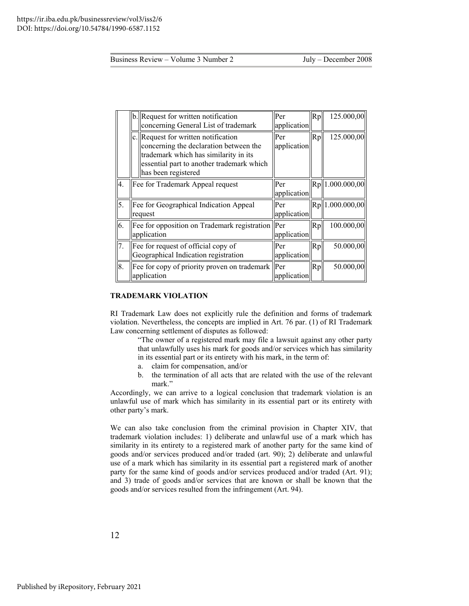|     | b. Request for written notification<br>concerning General List of trademark                                                                                                                | Per<br>application | $\mathsf{Rp}\vert$ | 125.000,00       |
|-----|--------------------------------------------------------------------------------------------------------------------------------------------------------------------------------------------|--------------------|--------------------|------------------|
|     | c. Request for written notification<br>concerning the declaration between the<br>trademark which has similarity in its<br>essential part to another trademark which<br>has been registered | Per<br>application | Rp                 | 125.000,00       |
| 4.  | Fee for Trademark Appeal request                                                                                                                                                           | Per<br>application |                    | Rp  1.000.000,00 |
| 5.  | Fee for Geographical Indication Appeal<br>request                                                                                                                                          | Per<br>application |                    | Rp 1.000.000,00  |
| 6.  | Fee for opposition on Trademark registration Per<br>application                                                                                                                            | application        | Rp                 | 100.000,00       |
| 17. | Fee for request of official copy of<br>Geographical Indication registration                                                                                                                | Per<br>application | Rp                 | 50.000,00        |
| 8.  | Fee for copy of priority proven on trademark<br>application                                                                                                                                | Per<br>application | Rp                 | 50.000,00        |

#### **TRADEMARK VIOLATION**

RI Trademark Law does not explicitly rule the definition and forms of trademark violation. Nevertheless, the concepts are implied in Art. 76 par. (1) of RI Trademark Law concerning settlement of disputes as followed:

> "The owner of a registered mark may file a lawsuit against any other party that unlawfully uses his mark for goods and/or services which has similarity in its essential part or its entirety with his mark, in the term of:

- a. claim for compensation, and/or
- b. the termination of all acts that are related with the use of the relevant mark."

Accordingly, we can arrive to a logical conclusion that trademark violation is an unlawful use of mark which has similarity in its essential part or its entirety with other party's mark.

We can also take conclusion from the criminal provision in Chapter XIV, that trademark violation includes: 1) deliberate and unlawful use of a mark which has similarity in its entirety to a registered mark of another party for the same kind of goods and/or services produced and/or traded (art. 90); 2) deliberate and unlawful use of a mark which has similarity in its essential part a registered mark of another party for the same kind of goods and/or services produced and/or traded (Art. 91); and 3) trade of goods and/or services that are known or shall be known that the goods and/or services resulted from the infringement (Art. 94).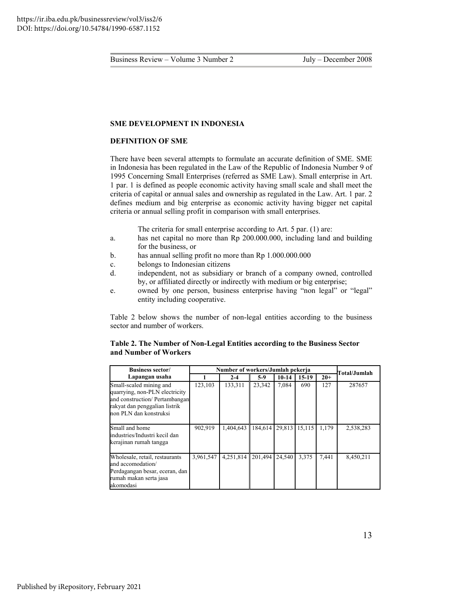#### **SME DEVELOPMENT IN INDONESIA**

#### **DEFINITION OF SME**

There have been several attempts to formulate an accurate definition of SME. SME in Indonesia has been regulated in the Law of the Republic of Indonesia Number 9 of 1995 Concerning Small Enterprises (referred as SME Law). Small enterprise in Art. 1 par. 1 is defined as people economic activity having small scale and shall meet the criteria of capital or annual sales and ownership as regulated in the Law. Art. 1 par. 2 defines medium and big enterprise as economic activity having bigger net capital criteria or annual selling profit in comparison with small enterprises.

The criteria for small enterprise according to Art. 5 par. (1) are:

- a. has net capital no more than Rp 200.000.000, including land and building for the business, or
- b. has annual selling profit no more than Rp 1.000.000.000
- c. belongs to Indonesian citizens
- d. independent, not as subsidiary or branch of a company owned, controlled by, or affiliated directly or indirectly with medium or big enterprise;
- e. owned by one person, business enterprise having "non legal" or "legal" entity including cooperative.

Table 2 below shows the number of non-legal entities according to the business sector and number of workers.

#### **Table 2. The Number of Non-Legal Entities according to the Business Sector and Number of Workers**

| <b>Business sector/</b>                                                                                                                                |           | Number of workers/Jumlah pekerja |         |           |         |       | Total/Jumlah |
|--------------------------------------------------------------------------------------------------------------------------------------------------------|-----------|----------------------------------|---------|-----------|---------|-------|--------------|
| Lapangan usaha                                                                                                                                         |           | $2 - 4$                          | $5-9$   | $10 - 14$ | $15-19$ | $20+$ |              |
| Small-scaled mining and<br>quarrying, non-PLN electricity<br>and construction/ Pertambangan<br>rakyat dan penggalian listrik<br>non PLN dan konstruksi | 123,103   | 133.311                          | 23.342  | 7.084     | 690     | 127   | 287657       |
| Small and home<br>industries/Industri kecil dan<br>kerajinan rumah tangga                                                                              | 902,919   | 1,404,643                        | 184.614 | 29,813    | 15,115  | 1.179 | 2,538,283    |
| Wholesale, retail, restaurants<br>and accomodation/<br>Perdagangan besar, eceran, dan<br>rumah makan serta jasa<br>akomodasi                           | 3,961,547 | 4,251,814                        | 201,494 | 24.540    | 3.375   | 7,441 | 8,450,211    |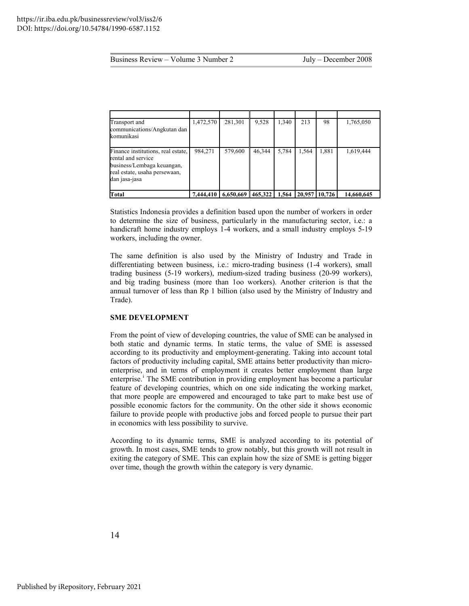| Transport and<br>communications/Angkutan dan<br>komunikasi                                                                               | 1,472,570 | 281,301   | 9,528   | 1,340 | 213    | 98     | 1,765,050  |
|------------------------------------------------------------------------------------------------------------------------------------------|-----------|-----------|---------|-------|--------|--------|------------|
| Finance institutions, real estate,<br>rental and service<br>business/Lembaga keuangan,<br>real estate, usaha persewaan,<br>dan jasa-jasa | 984,271   | 579,600   | 46.344  | 5.784 | 1,564  | 1,881  | 1,619,444  |
| <b>Total</b>                                                                                                                             | 7,444,410 | 6,650,669 | 465,322 | 1,564 | 20,957 | 10.726 | 14,660,645 |

Statistics Indonesia provides a definition based upon the number of workers in order to determine the size of business, particularly in the manufacturing sector, i.e.: a handicraft home industry employs 1-4 workers, and a small industry employs 5-19 workers, including the owner.

The same definition is also used by the Ministry of Industry and Trade in differentiating between business, i.e.: micro-trading business (1-4 workers), small trading business (5-19 workers), medium-sized trading business (20-99 workers), and big trading business (more than 1oo workers). Another criterion is that the annual turnover of less than Rp 1 billion (also used by the Ministry of Industry and Trade).

#### **SME DEVELOPMENT**

From the point of view of developing countries, the value of SME can be analysed in both static and dynamic terms. In static terms, the value of SME is assessed according to its productivity and employment-generating. Taking into account total factors of productivity including capital, SME attains better productivity than microenterprise, and in terms of employment it creates better employment than large enterpr[i](#page-22-0)se.<sup>1</sup> The SME contribution in providing employment has become a particular feature of developing countries, which on one side indicating the working market, that more people are empowered and encouraged to take part to make best use of possible economic factors for the community. On the other side it shows economic failure to provide people with productive jobs and forced people to pursue their part in economics with less possibility to survive.

According to its dynamic terms, SME is analyzed according to its potential of growth. In most cases, SME tends to grow notably, but this growth will not result in exiting the category of SME. This can explain how the size of SME is getting bigger over time, though the growth within the category is very dynamic.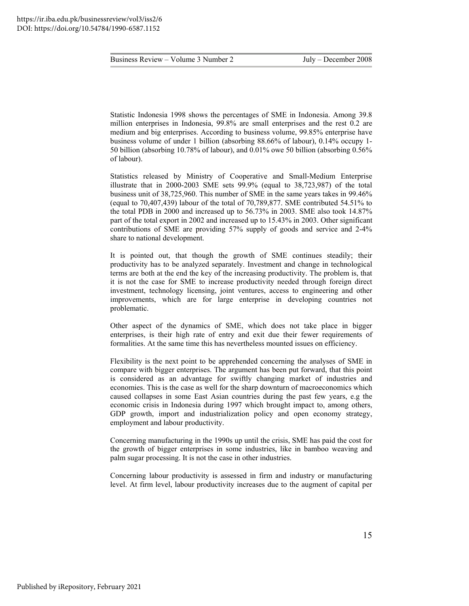Statistic Indonesia 1998 shows the percentages of SME in Indonesia. Among 39.8 million enterprises in Indonesia, 99.8% are small enterprises and the rest 0.2 are medium and big enterprises. According to business volume, 99.85% enterprise have business volume of under 1 billion (absorbing 88.66% of labour), 0.14% occupy 1- 50 billion (absorbing 10.78% of labour), and 0.01% owe 50 billion (absorbing 0.56% of labour).

Statistics released by Ministry of Cooperative and Small-Medium Enterprise illustrate that in 2000-2003 SME sets 99.9% (equal to 38,723,987) of the total business unit of 38,725,960. This number of SME in the same years takes in 99.46% (equal to 70,407,439) labour of the total of 70,789,877. SME contributed 54.51% to the total PDB in 2000 and increased up to 56.73% in 2003. SME also took 14.87% part of the total export in 2002 and increased up to 15.43% in 2003. Other significant contributions of SME are providing 57% supply of goods and service and 2-4% share to national development.

It is pointed out, that though the growth of SME continues steadily; their productivity has to be analyzed separately. Investment and change in technological terms are both at the end the key of the increasing productivity. The problem is, that it is not the case for SME to increase productivity needed through foreign direct investment, technology licensing, joint ventures, access to engineering and other improvements, which are for large enterprise in developing countries not problematic.

Other aspect of the dynamics of SME, which does not take place in bigger enterprises, is their high rate of entry and exit due their fewer requirements of formalities. At the same time this has nevertheless mounted issues on efficiency.

Flexibility is the next point to be apprehended concerning the analyses of SME in compare with bigger enterprises. The argument has been put forward, that this point is considered as an advantage for swiftly changing market of industries and economies. This is the case as well for the sharp downturn of macroeconomics which caused collapses in some East Asian countries during the past few years, e.g the economic crisis in Indonesia during 1997 which brought impact to, among others, GDP growth, import and industrialization policy and open economy strategy, employment and labour productivity.

Concerning manufacturing in the 1990s up until the crisis, SME has paid the cost for the growth of bigger enterprises in some industries, like in bamboo weaving and palm sugar processing. It is not the case in other industries.

Concerning labour productivity is assessed in firm and industry or manufacturing level. At firm level, labour productivity increases due to the augment of capital per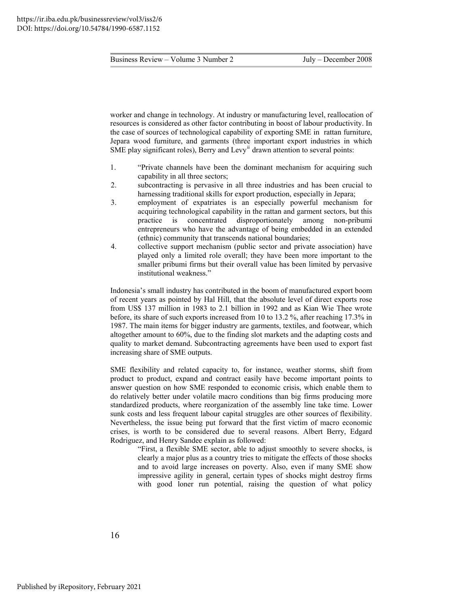worker and change in technology. At industry or manufacturing level, reallocation of resources is considered as other factor contributing in boost of labour productivity. In the case of sources of technological capability of exporting SME in rattan furniture, Jepara wood furniture, and garments (three important export industries in which SME play significant roles), Berry and Levy<sup> $<sup>ii</sup>$  $<sup>ii</sup>$  $<sup>ii</sup>$ </sup> drawn attention to several points:</sup>

- 1. "Private channels have been the dominant mechanism for acquiring such capability in all three sectors;
- 2. subcontracting is pervasive in all three industries and has been crucial to harnessing traditional skills for export production, especially in Jepara;
- 3. employment of expatriates is an especially powerful mechanism for acquiring technological capability in the rattan and garment sectors, but this practice is concentrated disproportionately among non-pribumi entrepreneurs who have the advantage of being embedded in an extended (ethnic) community that transcends national boundaries;
- 4. collective support mechanism (public sector and private association) have played only a limited role overall; they have been more important to the smaller pribumi firms but their overall value has been limited by pervasive institutional weakness."

Indonesia's small industry has contributed in the boom of manufactured export boom of recent years as pointed by Hal Hill, that the absolute level of direct exports rose from US\$ 137 million in 1983 to 2.1 billion in 1992 and as Kian Wie Thee wrote before, its share of such exports increased from 10 to 13.2 %, after reaching 17.3% in 1987. The main items for bigger industry are garments, textiles, and footwear, which altogether amount to 60%, due to the finding slot markets and the adapting costs and quality to market demand. Subcontracting agreements have been used to export fast increasing share of SME outputs.

SME flexibility and related capacity to, for instance, weather storms, shift from product to product, expand and contract easily have become important points to answer question on how SME responded to economic crisis, which enable them to do relatively better under volatile macro conditions than big firms producing more standardized products, where reorganization of the assembly line take time. Lower sunk costs and less frequent labour capital struggles are other sources of flexibility. Nevertheless, the issue being put forward that the first victim of macro economic crises, is worth to be considered due to several reasons. Albert Berry, Edgard Rodriguez, and Henry Sandee explain as followed:

> "First, a flexible SME sector, able to adjust smoothly to severe shocks, is clearly a major plus as a country tries to mitigate the effects of those shocks and to avoid large increases on poverty. Also, even if many SME show impressive agility in general, certain types of shocks might destroy firms with good loner run potential, raising the question of what policy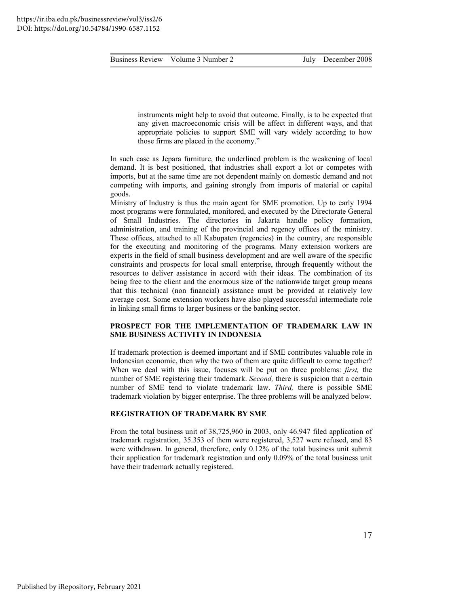instruments might help to avoid that outcome. Finally, is to be expected that any given macroeconomic crisis will be affect in different ways, and that appropriate policies to support SME will vary widely according to how those firms are placed in the economy."

In such case as Jepara furniture, the underlined problem is the weakening of local demand. It is best positioned, that industries shall export a lot or competes with imports, but at the same time are not dependent mainly on domestic demand and not competing with imports, and gaining strongly from imports of material or capital goods.

Ministry of Industry is thus the main agent for SME promotion. Up to early 1994 most programs were formulated, monitored, and executed by the Directorate General of Small Industries. The directories in Jakarta handle policy formation, administration, and training of the provincial and regency offices of the ministry. These offices, attached to all Kabupaten (regencies) in the country, are responsible for the executing and monitoring of the programs. Many extension workers are experts in the field of small business development and are well aware of the specific constraints and prospects for local small enterprise, through frequently without the resources to deliver assistance in accord with their ideas. The combination of its being free to the client and the enormous size of the nationwide target group means that this technical (non financial) assistance must be provided at relatively low average cost. Some extension workers have also played successful intermediate role in linking small firms to larger business or the banking sector.

#### **PROSPECT FOR THE IMPLEMENTATION OF TRADEMARK LAW IN SME BUSINESS ACTIVITY IN INDONESIA**

If trademark protection is deemed important and if SME contributes valuable role in Indonesian economic, then why the two of them are quite difficult to come together? When we deal with this issue, focuses will be put on three problems: *first,* the number of SME registering their trademark. *Second,* there is suspicion that a certain number of SME tend to violate trademark law. *Third,* there is possible SME trademark violation by bigger enterprise. The three problems will be analyzed below.

#### **REGISTRATION OF TRADEMARK BY SME**

From the total business unit of 38,725,960 in 2003, only 46.947 filed application of trademark registration, 35.353 of them were registered, 3,527 were refused, and 83 were withdrawn. In general, therefore, only 0.12% of the total business unit submit their application for trademark registration and only 0.09% of the total business unit have their trademark actually registered.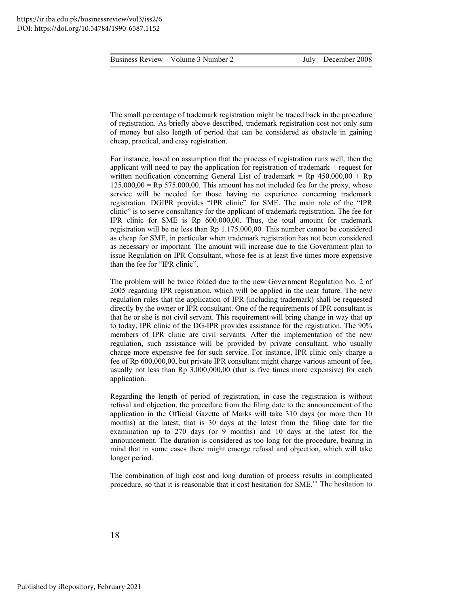The small percentage of trademark registration might be traced back in the procedure of registration. As briefly above described, trademark registration cost not only sum of money but also length of period that can be considered as obstacle in gaining cheap, practical, and easy registration.

For instance, based on assumption that the process of registration runs well, then the applicant will need to pay the application for registration of trademark + request for written notification concerning General List of trademark = Rp  $450.000,00 + Rp$  $125.000,00 =$  Rp 575.000,00. This amount has not included fee for the proxy, whose service will be needed for those having no experience concerning trademark registration. DGIPR provides "IPR clinic" for SME. The main role of the "IPR clinic" is to serve consultancy for the applicant of trademark registration. The fee for IPR clinic for SME is Rp 600.000,00. Thus, the total amount for trademark registration will be no less than Rp 1.175.000,00. This number cannot be considered as cheap for SME, in particular when trademark registration has not been considered as necessary or important. The amount will increase due to the Government plan to issue Regulation on IPR Consultant, whose fee is at least five times more expensive than the fee for "IPR clinic".

The problem will be twice folded due to the new Government Regulation No. 2 of 2005 regarding IPR registration, which will be applied in the near future. The new regulation rules that the application of IPR (including trademark) shall be requested directly by the owner or IPR consultant. One of the requirements of IPR consultant is that he or she is not civil servant. This requirement will bring change in way that up to today, IPR clinic of the DG-IPR provides assistance for the registration. The 90% members of IPR clinic are civil servants. After the implementation of the new regulation, such assistance will be provided by private consultant, who usually charge more expensive fee for such service. For instance, IPR clinic only charge a fee of Rp 600,000,00, but private IPR consultant might charge various amount of fee, usually not less than Rp 3,000,000,00 (that is five times more expensive) for each application.

Regarding the length of period of registration, in case the registration is without refusal and objection, the procedure from the filing date to the announcement of the application in the Official Gazette of Marks will take 310 days (or more then 10 months) at the latest, that is 30 days at the latest from the filing date for the examination up to 270 days (or 9 months) and 10 days at the latest for the announcement. The duration is considered as too long for the procedure, bearing in mind that in some cases there might emerge refusal and objection, which will take longer period.

The combination of high cost and long duration of process results in complicated procedure, so that it is reasonable that it cost hesitation for SME.<sup>[iii](#page-23-0)</sup> The hesitation to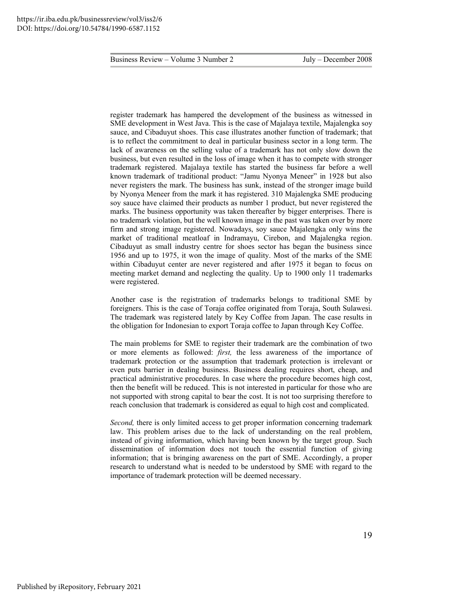register trademark has hampered the development of the business as witnessed in SME development in West Java. This is the case of Majalaya textile, Majalengka soy sauce, and Cibaduyut shoes. This case illustrates another function of trademark; that is to reflect the commitment to deal in particular business sector in a long term. The lack of awareness on the selling value of a trademark has not only slow down the business, but even resulted in the loss of image when it has to compete with stronger trademark registered. Majalaya textile has started the business far before a well known trademark of traditional product: "Jamu Nyonya Meneer" in 1928 but also never registers the mark. The business has sunk, instead of the stronger image build by Nyonya Meneer from the mark it has registered. 310 Majalengka SME producing soy sauce have claimed their products as number 1 product, but never registered the marks. The business opportunity was taken thereafter by bigger enterprises. There is no trademark violation, but the well known image in the past was taken over by more firm and strong image registered. Nowadays, soy sauce Majalengka only wins the market of traditional meatloaf in Indramayu, Cirebon, and Majalengka region. Cibaduyut as small industry centre for shoes sector has began the business since 1956 and up to 1975, it won the image of quality. Most of the marks of the SME within Cibaduyut center are never registered and after 1975 it began to focus on meeting market demand and neglecting the quality. Up to 1900 only 11 trademarks were registered.

Another case is the registration of trademarks belongs to traditional SME by foreigners. This is the case of Toraja coffee originated from Toraja, South Sulawesi. The trademark was registered lately by Key Coffee from Japan. The case results in the obligation for Indonesian to export Toraja coffee to Japan through Key Coffee.

The main problems for SME to register their trademark are the combination of two or more elements as followed: *first,* the less awareness of the importance of trademark protection or the assumption that trademark protection is irrelevant or even puts barrier in dealing business. Business dealing requires short, cheap, and practical administrative procedures. In case where the procedure becomes high cost, then the benefit will be reduced. This is not interested in particular for those who are not supported with strong capital to bear the cost. It is not too surprising therefore to reach conclusion that trademark is considered as equal to high cost and complicated.

*Second,* there is only limited access to get proper information concerning trademark law. This problem arises due to the lack of understanding on the real problem, instead of giving information, which having been known by the target group. Such dissemination of information does not touch the essential function of giving information; that is bringing awareness on the part of SME. Accordingly, a proper research to understand what is needed to be understood by SME with regard to the importance of trademark protection will be deemed necessary.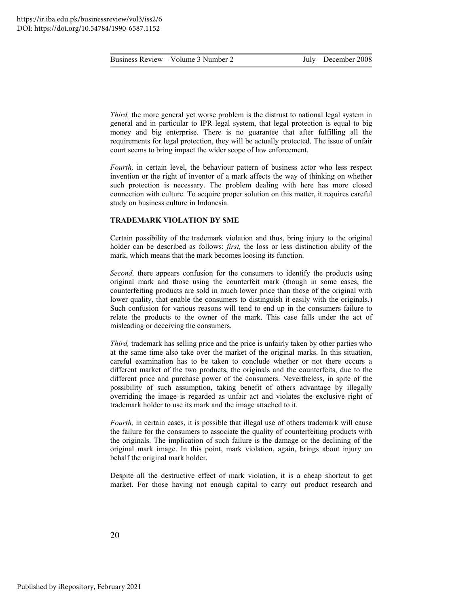*Third*, the more general yet worse problem is the distrust to national legal system in general and in particular to IPR legal system, that legal protection is equal to big money and big enterprise. There is no guarantee that after fulfilling all the requirements for legal protection, they will be actually protected. The issue of unfair court seems to bring impact the wider scope of law enforcement.

*Fourth*, in certain level, the behaviour pattern of business actor who less respect invention or the right of inventor of a mark affects the way of thinking on whether such protection is necessary. The problem dealing with here has more closed connection with culture. To acquire proper solution on this matter, it requires careful study on business culture in Indonesia.

#### **TRADEMARK VIOLATION BY SME**

Certain possibility of the trademark violation and thus, bring injury to the original holder can be described as follows: *first,* the loss or less distinction ability of the mark, which means that the mark becomes loosing its function.

*Second,* there appears confusion for the consumers to identify the products using original mark and those using the counterfeit mark (though in some cases, the counterfeiting products are sold in much lower price than those of the original with lower quality, that enable the consumers to distinguish it easily with the originals.) Such confusion for various reasons will tend to end up in the consumers failure to relate the products to the owner of the mark. This case falls under the act of misleading or deceiving the consumers.

*Third*, trademark has selling price and the price is unfairly taken by other parties who at the same time also take over the market of the original marks. In this situation, careful examination has to be taken to conclude whether or not there occurs a different market of the two products, the originals and the counterfeits, due to the different price and purchase power of the consumers. Nevertheless, in spite of the possibility of such assumption, taking benefit of others advantage by illegally overriding the image is regarded as unfair act and violates the exclusive right of trademark holder to use its mark and the image attached to it.

*Fourth*, in certain cases, it is possible that illegal use of others trademark will cause the failure for the consumers to associate the quality of counterfeiting products with the originals. The implication of such failure is the damage or the declining of the original mark image. In this point, mark violation, again, brings about injury on behalf the original mark holder.

Despite all the destructive effect of mark violation, it is a cheap shortcut to get market. For those having not enough capital to carry out product research and

20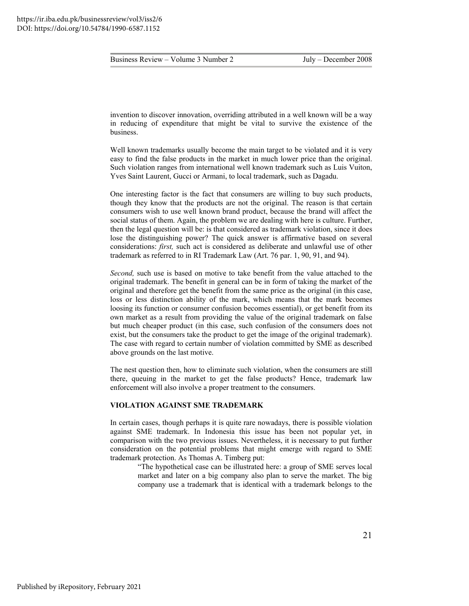|--|

invention to discover innovation, overriding attributed in a well known will be a way in reducing of expenditure that might be vital to survive the existence of the business.

Well known trademarks usually become the main target to be violated and it is very easy to find the false products in the market in much lower price than the original. Such violation ranges from international well known trademark such as Luis Vuiton, Yves Saint Laurent, Gucci or Armani, to local trademark, such as Dagadu.

One interesting factor is the fact that consumers are willing to buy such products, though they know that the products are not the original. The reason is that certain consumers wish to use well known brand product, because the brand will affect the social status of them. Again, the problem we are dealing with here is culture. Further, then the legal question will be: is that considered as trademark violation, since it does lose the distinguishing power? The quick answer is affirmative based on several considerations: *first,* such act is considered as deliberate and unlawful use of other trademark as referred to in RI Trademark Law (Art. 76 par. 1, 90, 91, and 94).

*Second,* such use is based on motive to take benefit from the value attached to the original trademark. The benefit in general can be in form of taking the market of the original and therefore get the benefit from the same price as the original (in this case, loss or less distinction ability of the mark, which means that the mark becomes loosing its function or consumer confusion becomes essential), or get benefit from its own market as a result from providing the value of the original trademark on false but much cheaper product (in this case, such confusion of the consumers does not exist, but the consumers take the product to get the image of the original trademark). The case with regard to certain number of violation committed by SME as described above grounds on the last motive.

The nest question then, how to eliminate such violation, when the consumers are still there, queuing in the market to get the false products? Hence, trademark law enforcement will also involve a proper treatment to the consumers.

#### **VIOLATION AGAINST SME TRADEMARK**

In certain cases, though perhaps it is quite rare nowadays, there is possible violation against SME trademark. In Indonesia this issue has been not popular yet, in comparison with the two previous issues. Nevertheless, it is necessary to put further consideration on the potential problems that might emerge with regard to SME trademark protection. As Thomas A. Timberg put:

> "The hypothetical case can be illustrated here: a group of SME serves local market and later on a big company also plan to serve the market. The big company use a trademark that is identical with a trademark belongs to the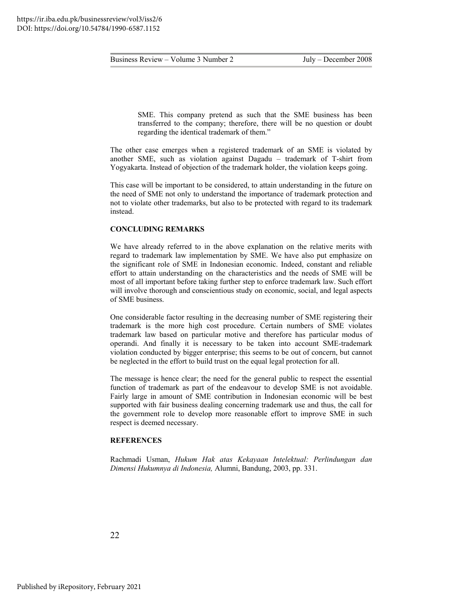SME. This company pretend as such that the SME business has been transferred to the company; therefore, there will be no question or doubt regarding the identical trademark of them."

The other case emerges when a registered trademark of an SME is violated by another SME, such as violation against Dagadu – trademark of T-shirt from Yogyakarta. Instead of objection of the trademark holder, the violation keeps going.

This case will be important to be considered, to attain understanding in the future on the need of SME not only to understand the importance of trademark protection and not to violate other trademarks, but also to be protected with regard to its trademark instead.

#### **CONCLUDING REMARKS**

We have already referred to in the above explanation on the relative merits with regard to trademark law implementation by SME. We have also put emphasize on the significant role of SME in Indonesian economic. Indeed, constant and reliable effort to attain understanding on the characteristics and the needs of SME will be most of all important before taking further step to enforce trademark law. Such effort will involve thorough and conscientious study on economic, social, and legal aspects of SME business.

One considerable factor resulting in the decreasing number of SME registering their trademark is the more high cost procedure. Certain numbers of SME violates trademark law based on particular motive and therefore has particular modus of operandi. And finally it is necessary to be taken into account SME-trademark violation conducted by bigger enterprise; this seems to be out of concern, but cannot be neglected in the effort to build trust on the equal legal protection for all.

The message is hence clear; the need for the general public to respect the essential function of trademark as part of the endeavour to develop SME is not avoidable. Fairly large in amount of SME contribution in Indonesian economic will be best supported with fair business dealing concerning trademark use and thus, the call for the government role to develop more reasonable effort to improve SME in such respect is deemed necessary.

#### **REFERENCES**

<span id="page-22-0"></span>Rachmadi Usman, *Hukum Hak atas Kekayaan Intelektual: Perlindungan dan Dimensi Hukumnya di Indonesia,* Alumni, Bandung, 2003, pp. 331.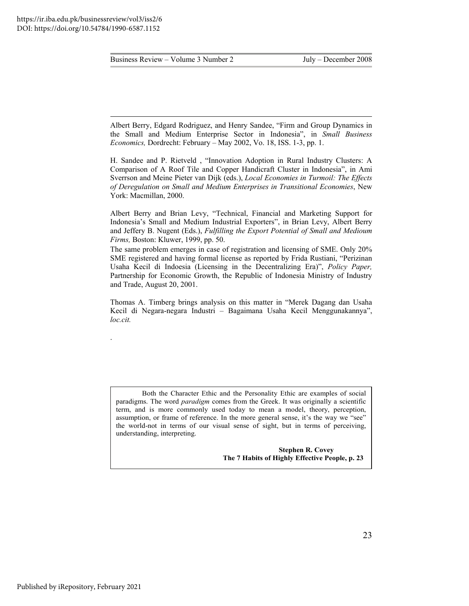$\overline{a}$ 

.

Business Review – Volume 3 Number 2 July – December 2008

<span id="page-23-0"></span>Albert Berry, Edgard Rodriguez, and Henry Sandee, "Firm and Group Dynamics in the Small and Medium Enterprise Sector in Indonesia", in *Small Business Economics,* Dordrecht: February – May 2002, Vo. 18, ISS. 1-3, pp. 1.

H. Sandee and P. Rietveld , "Innovation Adoption in Rural Industry Clusters: A Comparison of A Roof Tile and Copper Handicraft Cluster in Indonesia", in Ami Sverrson and Meine Pieter van Dijk (eds.), *Local Economies in Turmoil: The Effects of Deregulation on Small and Medium Enterprises in Transitional Economies*, New York: Macmillan, 2000.

Albert Berry and Brian Levy, "Technical, Financial and Marketing Support for Indonesia's Small and Medium Industrial Exporters", in Brian Levy, Albert Berry and Jeffery B. Nugent (Eds.), *Fulfilling the Export Potential of Small and Medioum Firms,* Boston: Kluwer, 1999, pp. 50.

The same problem emerges in case of registration and licensing of SME. Only 20% SME registered and having formal license as reported by Frida Rustiani, "Perizinan Usaha Kecil di Indoesia (Licensing in the Decentralizing Era)", *Policy Paper,*  Partnership for Economic Growth, the Republic of Indonesia Ministry of Industry and Trade, August 20, 2001.

Thomas A. Timberg brings analysis on this matter in "Merek Dagang dan Usaha Kecil di Negara-negara Industri – Bagaimana Usaha Kecil Menggunakannya", *loc.cit.*

Both the Character Ethic and the Personality Ethic are examples of social paradigms. The word *paradigm* comes from the Greek. It was originally a scientific term, and is more commonly used today to mean a model, theory, perception, assumption, or frame of reference. In the more general sense, it's the way we "see" the world-not in terms of our visual sense of sight, but in terms of perceiving, understanding, interpreting.

> **Stephen R. Covey The 7 Habits of Highly Effective People, p. 23**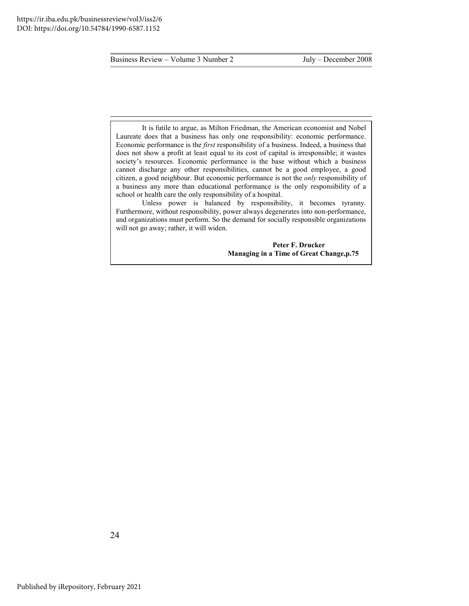$\overline{a}$ 

Business Review – Volume 3 Number 2 July – December 2008

It is futile to argue, as Milton Friedman, the American economist and Nobel Laureate does that a business has only one responsibility: economic performance. Economic performance is the *first* responsibility of a business. Indeed, a business that does not show a profit at least equal to its cost of capital is irresponsible; it wastes society's resources. Economic performance is the base without which a business cannot discharge any other responsibilities, cannot be a good employee, a good citizen, a good neighbour. But economic performance is not the *only* responsibility of a business any more than educational performance is the only responsibility of a school or health care the only responsibility of a hospital.

Unless power is balanced by responsibility, it becomes tyranny. Furthermore, without responsibility, power always degenerates into non-performance, and organizations must perform. So the demand for socially responsible organizations will not go away; rather, it will widen.

> **Peter F. Drucker Managing in a Time of Great Change,p.75**